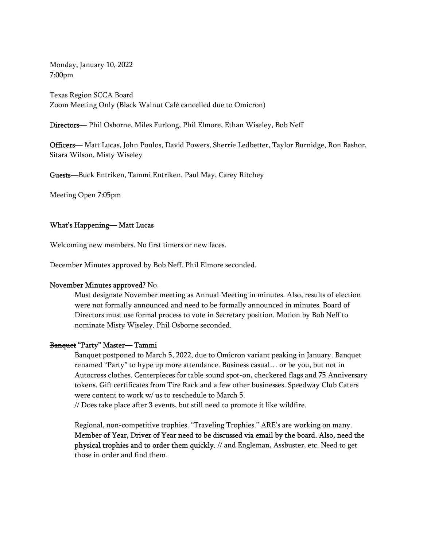Monday, January 10, 2022 7:00pm

Texas Region SCCA Board Zoom Meeting Only (Black Walnut Café cancelled due to Omicron)

Directors— Phil Osborne, Miles Furlong, Phil Elmore, Ethan Wiseley, Bob Neff<br>Officers— Matt Lucas, John Poulos, David Powers, Sherrie Ledbetter, Taylor Burnidge, Ron Bashor, Sitara Wilson, Misty Wiseley

Guests—Buck Entriken, Tammi Entriken, Paul May, Carey Ritchey

Meeting Open 7:05pm

#### What's Happening— Matt Lucas

Welcoming new members. No first timers or new faces.

December Minutes approved by Bob Neff. Phil Elmore seconded.

#### November Minutes approved? No.

Must designate November meeting as Annual Meeting in minutes. Also, results of election were not formally announced and need to be formally announced in minutes. Board of Directors must use formal process to vote in Secretary position. Motion by Bob Neff to nominate Misty Wiseley. Phil Osborne seconded.<br>**Banquet "Party" Master— Tammi** 

Banquet postponed to March 5, 2022, due to Omicron variant peaking in January. Banquet renamed "Party" to hype up more attendance. Business casual… or be you, but not in Autocross clothes. Centerpieces for table sound spot-on, checkered flags and 75 Anniversary tokens. Gift certificates from Tire Rack and a few other businesses. Speedway Club Caters were content to work w/ us to reschedule to March 5.

// Does take place after 3 events, but still need to promote it like wildfire.

Regional, non-competitive trophies. "Traveling Trophies." ARE's are working on many. Member of Year, Driver of Year need to be discussed via email by the board. Also, need the physical trophies and to order them quickly. // and Engleman, Assbuster, etc. Need to get those in order and find them.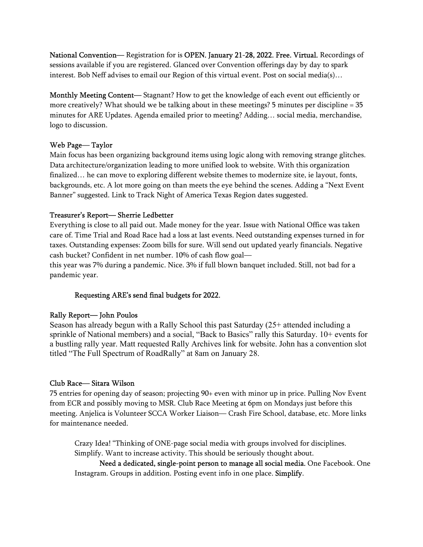National Convention— Registration for is OPEN. January 21-28, 2022. Free. Virtual. Recordings of sessions available if you are registered. Glanced over Convention offerings day by day to spark interest. Bob Neff advises to email our Region of this virtual event. Post on social media(s)…

Monthly Meeting Content— Stagnant? How to get the knowledge of each event out efficiently or more creatively? What should we be talking about in these meetings? 5 minutes per discipline = 35 minutes for ARE Updates. Agenda emailed prior to meeting? Adding… social media, merchandise, logo to discussion.<br>Web Page— Taylor

Main focus has been organizing background items using logic along with removing strange glitches. Data architecture/organization leading to more unified look to website. With this organization finalized… he can move to exploring different website themes to modernize site, ie layout, fonts, backgrounds, etc. A lot more going on than meets the eye behind the scenes. Adding a "Next Event Banner" suggested. Link to Track Night of America Texas Region dates suggested.

Treasurer's Report— Sherrie Ledbetter<br>Everything is close to all paid out. Made money for the year. Issue with National Office was taken care of. Time Trial and Road Race had a loss at last events. Need outstanding expenses turned in for taxes. Outstanding expenses: Zoom bills for sure. Will send out updated yearly financials. Negative cash bucket? Confident in net number. 10% of cash flow goal—

this year was 7% during a pandemic. Nice. 3% if full blown banquet included. Still, not bad for a pandemic year.

# Requesting ARE's send final budgets for 2022.

## Rally Report— John Poulos

Season has already begun with a Rally School this past Saturday (25+ attended including a sprinkle of National members) and a social, "Back to Basics" rally this Saturday. 10+ events for a bustling rally year. Matt requested Rally Archives link for website. John has a convention slot titled "The Full Spectrum of RoadRally" at 8am on January 28.

## Club Race— Sitara Wilson

75 entries for opening day of season; projecting 90+ even with minor up in price. Pulling Nov Event from ECR and possibly moving to MSR. Club Race Meeting at 6pm on Mondays just before this meeting. Anjelica is Volunteer SCCA Worker Liaison— Crash Fire School, database, etc. More links for maintenance needed.

Crazy Idea! "Thinking of ONE-page social media with groups involved for disciplines. Simplify. Want to increase activity. This should be seriously thought about.

Need a dedicated, single-point person to manage all social media. One Facebook. One Instagram. Groups in addition. Posting event info in one place. Simplify.